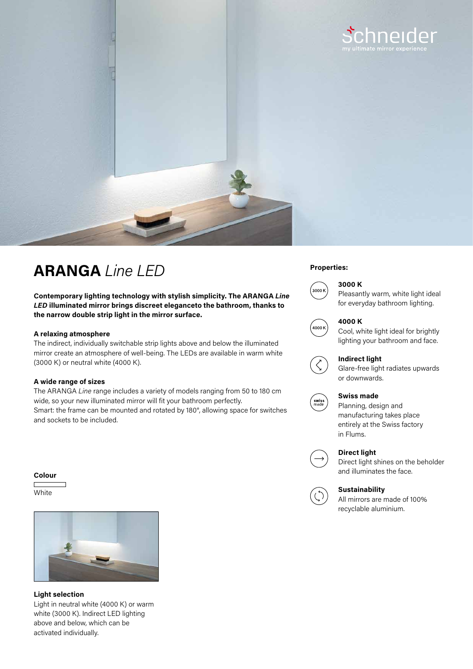

# **Properties: ARANGA** *Line LED*

**Contemporary lighting technology with stylish simplicity. The ARANGA** *Line LED* **illuminated mirror brings discreet eleganceto the bathroom, thanks to the narrow double strip light in the mirror surface.**

## **A relaxing atmosphere**

The indirect, individually switchable strip lights above and below the illuminated mirror create an atmosphere of well-being. The LEDs are available in warm white (3000 K) or neutral white (4000 K).

## **A wide range of sizes**

The ARANGA *Line* range includes a variety of models ranging from 50 to 180 cm wide, so your new illuminated mirror will fit your bathroom perfectly. Smart: the frame can be mounted and rotated by 180°, allowing space for switches and sockets to be included.

#### **Colour**

**White** 



**Light selection** Light in neutral white (4000 K) or warm white (3000 K). Indirect LED lighting above and below, which can be activated individually.

# **3000 K**



Pleasantly warm, white light ideal for everyday bathroom lighting.



### **4000 K**

Cool, white light ideal for brightly lighting your bathroom and face.



Glare-free light radiates upwards or downwards.



# **Swiss made**

Planning, design and manufacturing takes place entirely at the Swiss factory in Flums.



# **Direct light**

Direct light shines on the beholder and illuminates the face.



# **Sustainability**

All mirrors are made of 100% recyclable aluminium.